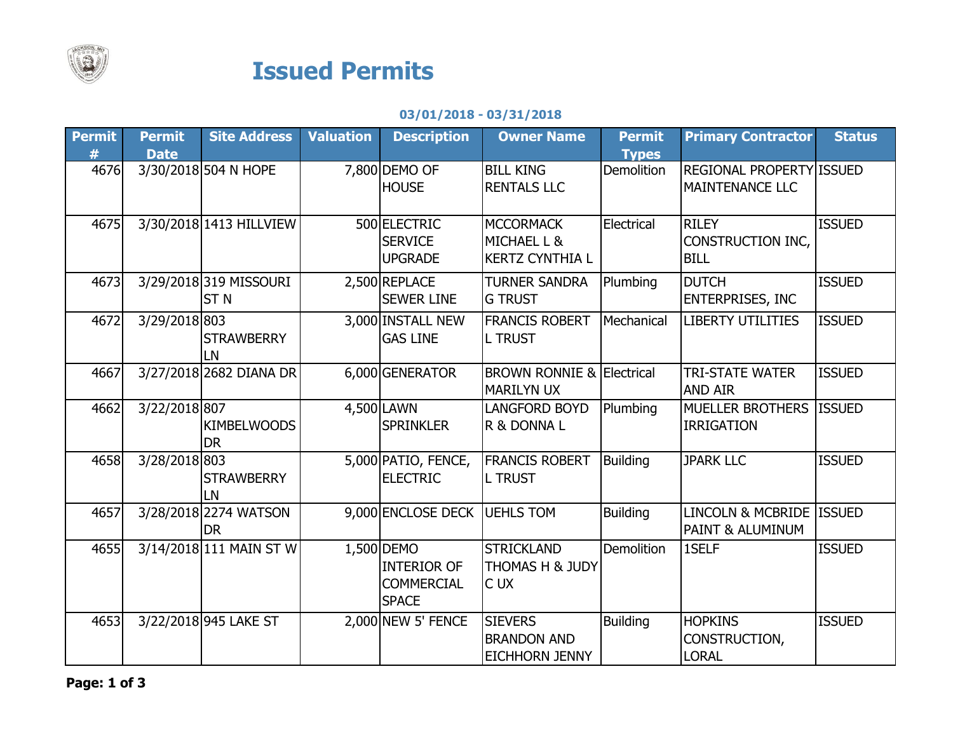

## Issued Permits

## 03/01/2018 - 03/31/2018

| <b>Permit</b> | <b>Permit</b> | <b>Site Address</b>     | <b>Valuation</b> | <b>Description</b>           | <b>Owner Name</b>                    | <b>Permit</b>     | <b>Primary Contractor</b> | <b>Status</b> |
|---------------|---------------|-------------------------|------------------|------------------------------|--------------------------------------|-------------------|---------------------------|---------------|
| #             | <b>Date</b>   |                         |                  |                              |                                      | <b>Types</b>      |                           |               |
| 4676          |               | 3/30/2018 504 N HOPE    |                  | 7,800 DEMO OF                | <b>BILL KING</b>                     | Demolition        | REGIONAL PROPERTY ISSUED  |               |
|               |               |                         |                  | <b>HOUSE</b>                 | <b>RENTALS LLC</b>                   |                   | MAINTENANCE LLC           |               |
|               |               |                         |                  |                              |                                      |                   |                           |               |
| 4675          |               | 3/30/2018 1413 HILLVIEW |                  | 500 ELECTRIC                 | <b>MCCORMACK</b>                     | Electrical        | <b>RILEY</b>              | <b>ISSUED</b> |
|               |               |                         |                  | <b>SERVICE</b>               | MICHAEL L &                          |                   | CONSTRUCTION INC,         |               |
|               |               |                         |                  | <b>UPGRADE</b>               | <b>KERTZ CYNTHIA L</b>               |                   | <b>BILL</b>               |               |
| 4673          |               | 3/29/2018 319 MISSOURI  |                  | 2,500 REPLACE                | <b>TURNER SANDRA</b>                 | Plumbing          | <b>DUTCH</b>              | <b>ISSUED</b> |
|               |               | <b>STN</b>              |                  | <b>SEWER LINE</b>            |                                      |                   |                           |               |
|               |               |                         |                  |                              | <b>G TRUST</b>                       |                   | <b>ENTERPRISES, INC</b>   |               |
| 4672          | 3/29/2018 803 |                         |                  | 3,000 INSTALL NEW            | <b>FRANCIS ROBERT</b>                | Mechanical        | <b>LIBERTY UTILITIES</b>  | <b>ISSUED</b> |
|               |               | <b>STRAWBERRY</b>       |                  | <b>GAS LINE</b>              | <b>L TRUST</b>                       |                   |                           |               |
|               |               | LN                      |                  |                              |                                      |                   |                           |               |
| 4667          |               | 3/27/2018 2682 DIANA DR |                  | 6,000 GENERATOR              | <b>BROWN RONNIE &amp; Electrical</b> |                   | <b>TRI-STATE WATER</b>    | <b>ISSUED</b> |
|               |               |                         |                  |                              | <b>MARILYN UX</b>                    |                   | <b>AND AIR</b>            |               |
| 4662          | 3/22/2018 807 |                         |                  | 4,500 LAWN                   | <b>LANGFORD BOYD</b>                 | Plumbing          | <b>MUELLER BROTHERS</b>   | <b>ISSUED</b> |
|               |               | <b>KIMBELWOODS</b>      |                  | <b>SPRINKLER</b>             | R & DONNA L                          |                   | <b>IRRIGATION</b>         |               |
|               |               | <b>DR</b>               |                  |                              |                                      |                   |                           |               |
| 4658          | 3/28/2018 803 |                         |                  | 5,000 PATIO, FENCE,          | <b>FRANCIS ROBERT</b>                | <b>Building</b>   | <b>JPARK LLC</b>          | <b>ISSUED</b> |
|               |               | <b>STRAWBERRY</b>       |                  | <b>ELECTRIC</b>              | <b>L TRUST</b>                       |                   |                           |               |
|               |               | LN                      |                  |                              |                                      |                   |                           |               |
| 4657          |               | 3/28/2018 2274 WATSON   |                  | 9,000 ENCLOSE DECK UEHLS TOM |                                      | <b>Building</b>   | LINCOLN & MCBRIDE ISSUED  |               |
|               |               | <b>DR</b>               |                  |                              |                                      |                   | PAINT & ALUMINUM          |               |
| 4655          |               | 3/14/2018 111 MAIN ST W |                  | 1,500 DEMO                   | <b>STRICKLAND</b>                    | <b>Demolition</b> | 1SELF                     | <b>ISSUED</b> |
|               |               |                         |                  | <b>INTERIOR OF</b>           | THOMAS H & JUDY                      |                   |                           |               |
|               |               |                         |                  | <b>COMMERCIAL</b>            | C UX                                 |                   |                           |               |
|               |               |                         |                  | <b>SPACE</b>                 |                                      |                   |                           |               |
| 4653          |               | 3/22/2018 945 LAKE ST   |                  | 2,000 NEW 5' FENCE           | <b>SIEVERS</b>                       | <b>Building</b>   | <b>HOPKINS</b>            | <b>ISSUED</b> |
|               |               |                         |                  |                              | <b>BRANDON AND</b>                   |                   | CONSTRUCTION,             |               |
|               |               |                         |                  |                              | <b>EICHHORN JENNY</b>                |                   | <b>LORAL</b>              |               |
|               |               |                         |                  |                              |                                      |                   |                           |               |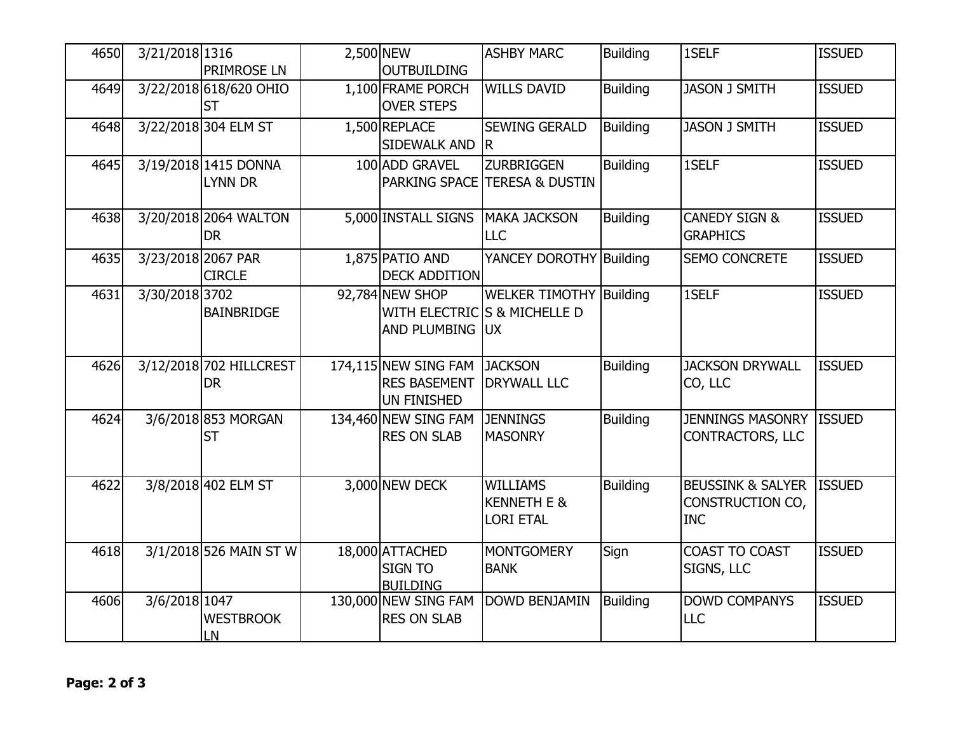| 4650 | 3/21/2018 1316     | <b>PRIMROSE LN</b>                     | 2,500 NEW | <b>OUTBUILDING</b>                                                | <b>ASHBY MARC</b>                                              | <b>Building</b> | 1SELF                                                          | <b>ISSUED</b> |
|------|--------------------|----------------------------------------|-----------|-------------------------------------------------------------------|----------------------------------------------------------------|-----------------|----------------------------------------------------------------|---------------|
| 4649 |                    | 3/22/2018 618/620 OHIO<br><b>ST</b>    |           | 1,100 FRAME PORCH<br><b>OVER STEPS</b>                            | <b>WILLS DAVID</b>                                             | <b>Building</b> | <b>JASON J SMITH</b>                                           | <b>ISSUED</b> |
| 4648 |                    | 3/22/2018 304 ELM ST                   |           | 1,500 REPLACE<br><b>SIDEWALK AND</b>                              | <b>SEWING GERALD</b><br>R.                                     | Building        | <b>JASON J SMITH</b>                                           | <b>ISSUED</b> |
| 4645 |                    | 3/19/2018 1415 DONNA<br><b>LYNN DR</b> |           | 100 ADD GRAVEL                                                    | <b>ZURBRIGGEN</b><br>PARKING SPACE TERESA & DUSTIN             | <b>Building</b> | 1SELF                                                          | <b>ISSUED</b> |
| 4638 |                    | 3/20/2018 2064 WALTON<br><b>DR</b>     |           | 5,000 INSTALL SIGNS                                               | <b>MAKA JACKSON</b><br><b>LLC</b>                              | Building        | <b>CANEDY SIGN &amp;</b><br><b>GRAPHICS</b>                    | <b>ISSUED</b> |
| 4635 | 3/23/2018 2067 PAR | <b>CIRCLE</b>                          |           | 1,875 PATIO AND<br><b>DECK ADDITION</b>                           | YANCEY DOROTHY Building                                        |                 | SEMO CONCRETE                                                  | <b>ISSUED</b> |
| 4631 | 3/30/2018 3702     | BAINBRIDGE                             |           | 92,784 NEW SHOP<br>AND PLUMBING UX                                | <b>WELKER TIMOTHY Building</b><br>WITH ELECTRIC S & MICHELLE D |                 | 1SELF                                                          | <b>ISSUED</b> |
| 4626 |                    | 3/12/2018 702 HILLCREST<br><b>DR</b>   |           | 174,115 NEW SING FAM<br><b>RES BASEMENT</b><br><b>UN FINISHED</b> | <b>JACKSON</b><br><b>DRYWALL LLC</b>                           | <b>Building</b> | <b>JACKSON DRYWALL</b><br>CO, LLC                              | <b>ISSUED</b> |
| 4624 |                    | 3/6/2018 853 MORGAN<br><b>ST</b>       |           | 134,460 NEW SING FAM<br><b>RES ON SLAB</b>                        | <b>JENNINGS</b><br><b>MASONRY</b>                              | <b>Building</b> | <b>JENNINGS MASONRY</b><br><b>CONTRACTORS, LLC</b>             | <b>ISSUED</b> |
| 4622 |                    | 3/8/2018 402 ELM ST                    |           | 3,000 NEW DECK                                                    | <b>WILLIAMS</b><br><b>KENNETH E &amp;</b><br><b>LORI ETAL</b>  | <b>Building</b> | <b>BEUSSINK &amp; SALYER</b><br>CONSTRUCTION CO,<br><b>INC</b> | <b>ISSUED</b> |
| 4618 |                    | 3/1/2018 526 MAIN ST W                 |           | 18,000 ATTACHED<br><b>SIGN TO</b><br><b>BUILDING</b>              | <b>MONTGOMERY</b><br><b>BANK</b>                               | Sign            | COAST TO COAST<br>SIGNS, LLC                                   | <b>ISSUED</b> |
| 4606 | 3/6/2018 1047      | <b>WESTBROOK</b><br>LN                 |           | 130,000 NEW SING FAM<br><b>RES ON SLAB</b>                        | <b>DOWD BENJAMIN</b>                                           | <b>Building</b> | <b>DOWD COMPANYS</b><br><b>LLC</b>                             | <b>ISSUED</b> |